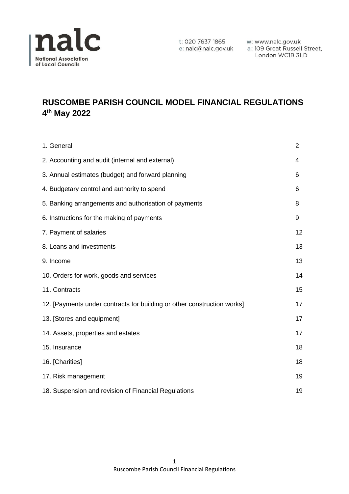

London WC1B 3LD

# **RUSCOMBE PARISH COUNCIL MODEL FINANCIAL REGULATIONS 4 th May 2022**

| 1. General                                                              | 2  |
|-------------------------------------------------------------------------|----|
| 2. Accounting and audit (internal and external)                         | 4  |
| 3. Annual estimates (budget) and forward planning                       | 6  |
| 4. Budgetary control and authority to spend                             | 6  |
| 5. Banking arrangements and authorisation of payments                   | 8  |
| 6. Instructions for the making of payments                              | 9  |
| 7. Payment of salaries                                                  | 12 |
| 8. Loans and investments                                                | 13 |
| 9. Income                                                               | 13 |
| 10. Orders for work, goods and services                                 | 14 |
| 11. Contracts                                                           | 15 |
| 12. [Payments under contracts for building or other construction works] | 17 |
| 13. [Stores and equipment]                                              | 17 |
| 14. Assets, properties and estates                                      | 17 |
| 15. Insurance                                                           | 18 |
| 16. [Charities]                                                         | 18 |
| 17. Risk management                                                     | 19 |
| 18. Suspension and revision of Financial Regulations                    | 19 |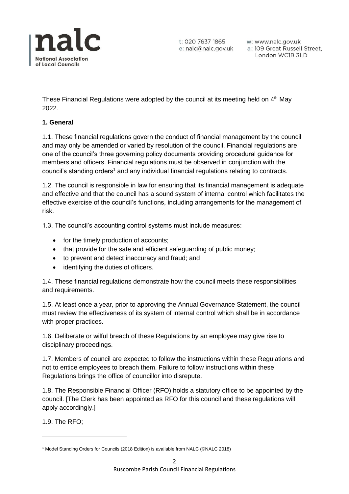

w: www.nalc.gov.uk a: 109 Great Russell Street, London WC1B 3LD

These Financial Regulations were adopted by the council at its meeting held on 4<sup>th</sup> May 2022.

## **1. General**

1.1. These financial regulations govern the conduct of financial management by the council and may only be amended or varied by resolution of the council. Financial regulations are one of the council's three governing policy documents providing procedural guidance for members and officers. Financial regulations must be observed in conjunction with the council's standing orders<sup>1</sup> and any individual financial regulations relating to contracts.

1.2. The council is responsible in law for ensuring that its financial management is adequate and effective and that the council has a sound system of internal control which facilitates the effective exercise of the council's functions, including arrangements for the management of risk.

1.3. The council's accounting control systems must include measures:

- for the timely production of accounts;
- that provide for the safe and efficient safeguarding of public money;
- to prevent and detect inaccuracy and fraud; and
- identifying the duties of officers.

1.4. These financial regulations demonstrate how the council meets these responsibilities and requirements.

1.5. At least once a year, prior to approving the Annual Governance Statement, the council must review the effectiveness of its system of internal control which shall be in accordance with proper practices.

1.6. Deliberate or wilful breach of these Regulations by an employee may give rise to disciplinary proceedings.

1.7. Members of council are expected to follow the instructions within these Regulations and not to entice employees to breach them. Failure to follow instructions within these Regulations brings the office of councillor into disrepute.

1.8. The Responsible Financial Officer (RFO) holds a statutory office to be appointed by the council. [The Clerk has been appointed as RFO for this council and these regulations will apply accordingly.]

1.9. The RFO;

<sup>1</sup> Model Standing Orders for Councils (2018 Edition) is available from NALC (©NALC 2018)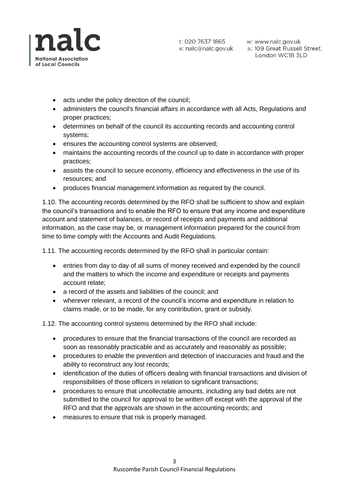

- acts under the policy direction of the council;
- administers the council's financial affairs in accordance with all Acts, Regulations and proper practices;
- determines on behalf of the council its accounting records and accounting control systems;
- ensures the accounting control systems are observed;
- maintains the accounting records of the council up to date in accordance with proper practices;
- assists the council to secure economy, efficiency and effectiveness in the use of its resources; and
- produces financial management information as required by the council.

1.10. The accounting records determined by the RFO shall be sufficient to show and explain the council's transactions and to enable the RFO to ensure that any income and expenditure account and statement of balances, or record of receipts and payments and additional information, as the case may be, or management information prepared for the council from time to time comply with the Accounts and Audit Regulations.

1.11. The accounting records determined by the RFO shall in particular contain:

- entries from day to day of all sums of money received and expended by the council and the matters to which the income and expenditure or receipts and payments account relate;
- a record of the assets and liabilities of the council; and
- wherever relevant, a record of the council's income and expenditure in relation to claims made, or to be made, for any contribution, grant or subsidy.

1.12. The accounting control systems determined by the RFO shall include:

- procedures to ensure that the financial transactions of the council are recorded as soon as reasonably practicable and as accurately and reasonably as possible;
- procedures to enable the prevention and detection of inaccuracies and fraud and the ability to reconstruct any lost records;
- identification of the duties of officers dealing with financial transactions and division of responsibilities of those officers in relation to significant transactions;
- procedures to ensure that uncollectable amounts, including any bad debts are not submitted to the council for approval to be written off except with the approval of the RFO and that the approvals are shown in the accounting records; and
- measures to ensure that risk is properly managed.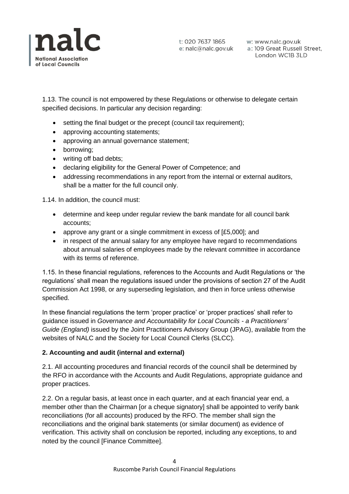

w: www.nalc.gov.uk a: 109 Great Russell Street, London WC1B 3LD

1.13. The council is not empowered by these Regulations or otherwise to delegate certain specified decisions. In particular any decision regarding:

- setting the final budget or the precept (council tax requirement);
- approving accounting statements;
- approving an annual governance statement;
- borrowing;
- writing off bad debts;
- declaring eligibility for the General Power of Competence; and
- addressing recommendations in any report from the internal or external auditors, shall be a matter for the full council only.

1.14. In addition, the council must:

- determine and keep under regular review the bank mandate for all council bank accounts;
- approve any grant or a single commitment in excess of [£5,000]; and
- in respect of the annual salary for any employee have regard to recommendations about annual salaries of employees made by the relevant committee in accordance with its terms of reference.

1.15. In these financial regulations, references to the Accounts and Audit Regulations or 'the regulations' shall mean the regulations issued under the provisions of section 27 of the Audit Commission Act 1998, or any superseding legislation, and then in force unless otherwise specified.

In these financial regulations the term 'proper practice' or 'proper practices' shall refer to guidance issued in *Governance and Accountability for Local Councils - a Practitioners' Guide (England)* issued by the Joint Practitioners Advisory Group (JPAG), available from the websites of NALC and the Society for Local Council Clerks (SLCC).

### **2. Accounting and audit (internal and external)**

2.1. All accounting procedures and financial records of the council shall be determined by the RFO in accordance with the Accounts and Audit Regulations, appropriate guidance and proper practices.

2.2. On a regular basis, at least once in each quarter, and at each financial year end, a member other than the Chairman [or a cheque signatory] shall be appointed to verify bank reconciliations (for all accounts) produced by the RFO. The member shall sign the reconciliations and the original bank statements (or similar document) as evidence of verification. This activity shall on conclusion be reported, including any exceptions, to and noted by the council [Finance Committee].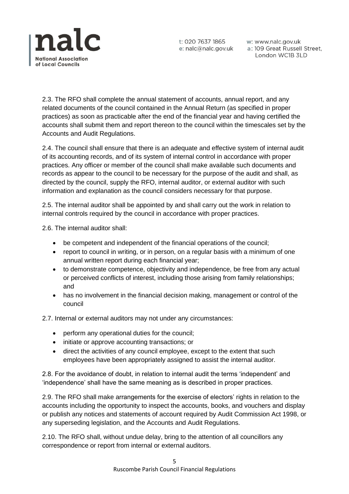

t: 020 7637 1865 w: www.nalc.gov.uk<br>e: nalc@nalc.gov.uk a: 109 Great Russell Street, London WC1B 3LD

2.3. The RFO shall complete the annual statement of accounts, annual report, and any related documents of the council contained in the Annual Return (as specified in proper practices) as soon as practicable after the end of the financial year and having certified the accounts shall submit them and report thereon to the council within the timescales set by the Accounts and Audit Regulations.

2.4. The council shall ensure that there is an adequate and effective system of internal audit of its accounting records, and of its system of internal control in accordance with proper practices. Any officer or member of the council shall make available such documents and records as appear to the council to be necessary for the purpose of the audit and shall, as directed by the council, supply the RFO, internal auditor, or external auditor with such information and explanation as the council considers necessary for that purpose.

2.5. The internal auditor shall be appointed by and shall carry out the work in relation to internal controls required by the council in accordance with proper practices.

2.6. The internal auditor shall:

- be competent and independent of the financial operations of the council;
- report to council in writing, or in person, on a regular basis with a minimum of one annual written report during each financial year;
- to demonstrate competence, objectivity and independence, be free from any actual or perceived conflicts of interest, including those arising from family relationships; and
- has no involvement in the financial decision making, management or control of the council

2.7. Internal or external auditors may not under any circumstances:

- perform any operational duties for the council;
- initiate or approve accounting transactions; or
- direct the activities of any council employee, except to the extent that such employees have been appropriately assigned to assist the internal auditor.

2.8. For the avoidance of doubt, in relation to internal audit the terms 'independent' and 'independence' shall have the same meaning as is described in proper practices.

2.9. The RFO shall make arrangements for the exercise of electors' rights in relation to the accounts including the opportunity to inspect the accounts, books, and vouchers and display or publish any notices and statements of account required by Audit Commission Act 1998, or any superseding legislation, and the Accounts and Audit Regulations.

2.10. The RFO shall, without undue delay, bring to the attention of all councillors any correspondence or report from internal or external auditors.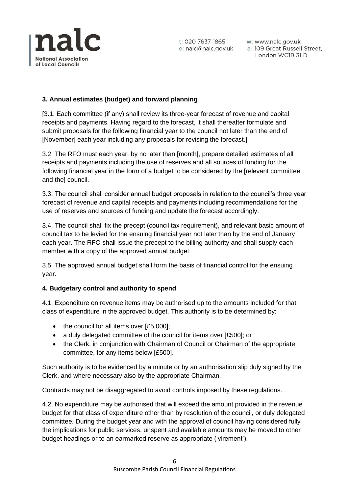

w: www.nalc.gov.uk a: 109 Great Russell Street, London WC1B 3LD

## **3. Annual estimates (budget) and forward planning**

[3.1. Each committee (if any) shall review its three-year forecast of revenue and capital receipts and payments. Having regard to the forecast, it shall thereafter formulate and submit proposals for the following financial year to the council not later than the end of [November] each year including any proposals for revising the forecast.]

3.2. The RFO must each year, by no later than [month], prepare detailed estimates of all receipts and payments including the use of reserves and all sources of funding for the following financial year in the form of a budget to be considered by the [relevant committee and the] council.

3.3. The council shall consider annual budget proposals in relation to the council's three year forecast of revenue and capital receipts and payments including recommendations for the use of reserves and sources of funding and update the forecast accordingly.

3.4. The council shall fix the precept (council tax requirement), and relevant basic amount of council tax to be levied for the ensuing financial year not later than by the end of January each year. The RFO shall issue the precept to the billing authority and shall supply each member with a copy of the approved annual budget.

3.5. The approved annual budget shall form the basis of financial control for the ensuing year.

## **4. Budgetary control and authority to spend**

4.1. Expenditure on revenue items may be authorised up to the amounts included for that class of expenditure in the approved budget. This authority is to be determined by:

- the council for all items over [£5,000];
- a duly delegated committee of the council for items over [£500]; or
- the Clerk, in conjunction with Chairman of Council or Chairman of the appropriate committee, for any items below [£500].

Such authority is to be evidenced by a minute or by an authorisation slip duly signed by the Clerk, and where necessary also by the appropriate Chairman.

Contracts may not be disaggregated to avoid controls imposed by these regulations.

4.2. No expenditure may be authorised that will exceed the amount provided in the revenue budget for that class of expenditure other than by resolution of the council, or duly delegated committee. During the budget year and with the approval of council having considered fully the implications for public services, unspent and available amounts may be moved to other budget headings or to an earmarked reserve as appropriate ('virement').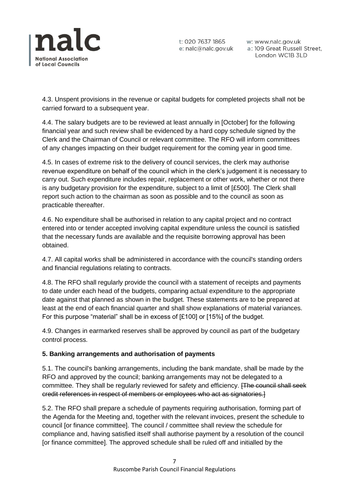

w: www.nalc.gov.uk a: 109 Great Russell Street, London WC1B 3LD

4.3. Unspent provisions in the revenue or capital budgets for completed projects shall not be carried forward to a subsequent year.

4.4. The salary budgets are to be reviewed at least annually in [October] for the following financial year and such review shall be evidenced by a hard copy schedule signed by the Clerk and the Chairman of Council or relevant committee. The RFO will inform committees of any changes impacting on their budget requirement for the coming year in good time.

4.5. In cases of extreme risk to the delivery of council services, the clerk may authorise revenue expenditure on behalf of the council which in the clerk's judgement it is necessary to carry out. Such expenditure includes repair, replacement or other work, whether or not there is any budgetary provision for the expenditure, subject to a limit of [£500]. The Clerk shall report such action to the chairman as soon as possible and to the council as soon as practicable thereafter.

4.6. No expenditure shall be authorised in relation to any capital project and no contract entered into or tender accepted involving capital expenditure unless the council is satisfied that the necessary funds are available and the requisite borrowing approval has been obtained.

4.7. All capital works shall be administered in accordance with the council's standing orders and financial regulations relating to contracts.

4.8. The RFO shall regularly provide the council with a statement of receipts and payments to date under each head of the budgets, comparing actual expenditure to the appropriate date against that planned as shown in the budget. These statements are to be prepared at least at the end of each financial quarter and shall show explanations of material variances. For this purpose "material" shall be in excess of [£100] or [15%] of the budget.

4.9. Changes in earmarked reserves shall be approved by council as part of the budgetary control process.

## **5. Banking arrangements and authorisation of payments**

5.1. The council's banking arrangements, including the bank mandate, shall be made by the RFO and approved by the council; banking arrangements may not be delegated to a committee. They shall be regularly reviewed for safety and efficiency. **[The council shall seek** credit references in respect of members or employees who act as signatories.]

5.2. The RFO shall prepare a schedule of payments requiring authorisation, forming part of the Agenda for the Meeting and, together with the relevant invoices, present the schedule to council [or finance committee]. The council / committee shall review the schedule for compliance and, having satisfied itself shall authorise payment by a resolution of the council [or finance committee]. The approved schedule shall be ruled off and initialled by the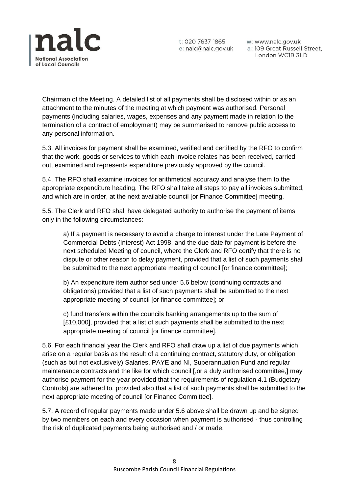

w: www.nalc.gov.uk a: 109 Great Russell Street, London WC1B 3LD

Chairman of the Meeting. A detailed list of all payments shall be disclosed within or as an attachment to the minutes of the meeting at which payment was authorised. Personal payments (including salaries, wages, expenses and any payment made in relation to the termination of a contract of employment) may be summarised to remove public access to any personal information.

5.3. All invoices for payment shall be examined, verified and certified by the RFO to confirm that the work, goods or services to which each invoice relates has been received, carried out, examined and represents expenditure previously approved by the council.

5.4. The RFO shall examine invoices for arithmetical accuracy and analyse them to the appropriate expenditure heading. The RFO shall take all steps to pay all invoices submitted, and which are in order, at the next available council [or Finance Committee] meeting.

5.5. The Clerk and RFO shall have delegated authority to authorise the payment of items only in the following circumstances:

a) If a payment is necessary to avoid a charge to interest under the Late Payment of Commercial Debts (Interest) Act 1998, and the due date for payment is before the next scheduled Meeting of council, where the Clerk and RFO certify that there is no dispute or other reason to delay payment, provided that a list of such payments shall be submitted to the next appropriate meeting of council [or finance committee];

b) An expenditure item authorised under 5.6 below (continuing contracts and obligations) provided that a list of such payments shall be submitted to the next appropriate meeting of council [or finance committee]; or

c) fund transfers within the councils banking arrangements up to the sum of [£10,000], provided that a list of such payments shall be submitted to the next appropriate meeting of council [or finance committee].

5.6. For each financial year the Clerk and RFO shall draw up a list of due payments which arise on a regular basis as the result of a continuing contract, statutory duty, or obligation (such as but not exclusively) Salaries, PAYE and NI, Superannuation Fund and regular maintenance contracts and the like for which council [,or a duly authorised committee,] may authorise payment for the year provided that the requirements of regulation 4.1 (Budgetary Controls) are adhered to, provided also that a list of such payments shall be submitted to the next appropriate meeting of council [or Finance Committee].

5.7. A record of regular payments made under 5.6 above shall be drawn up and be signed by two members on each and every occasion when payment is authorised - thus controlling the risk of duplicated payments being authorised and / or made.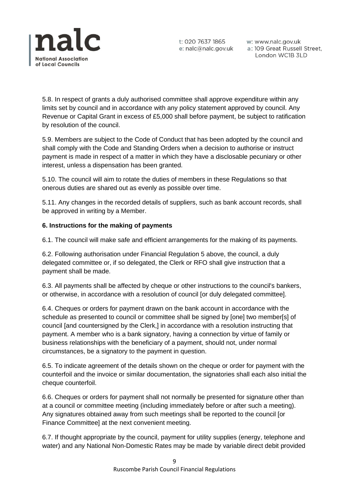

w: www.nalc.gov.uk a: 109 Great Russell Street, London WC1B 3LD

5.8. In respect of grants a duly authorised committee shall approve expenditure within any limits set by council and in accordance with any policy statement approved by council. Any Revenue or Capital Grant in excess of £5,000 shall before payment, be subject to ratification by resolution of the council.

5.9. Members are subject to the Code of Conduct that has been adopted by the council and shall comply with the Code and Standing Orders when a decision to authorise or instruct payment is made in respect of a matter in which they have a disclosable pecuniary or other interest, unless a dispensation has been granted.

5.10. The council will aim to rotate the duties of members in these Regulations so that onerous duties are shared out as evenly as possible over time.

5.11. Any changes in the recorded details of suppliers, such as bank account records, shall be approved in writing by a Member.

## **6. Instructions for the making of payments**

6.1. The council will make safe and efficient arrangements for the making of its payments.

6.2. Following authorisation under Financial Regulation 5 above, the council, a duly delegated committee or, if so delegated, the Clerk or RFO shall give instruction that a payment shall be made.

6.3. All payments shall be affected by cheque or other instructions to the council's bankers, or otherwise, in accordance with a resolution of council [or duly delegated committee].

6.4. Cheques or orders for payment drawn on the bank account in accordance with the schedule as presented to council or committee shall be signed by [one] two member[s] of council [and countersigned by the Clerk,] in accordance with a resolution instructing that payment. A member who is a bank signatory, having a connection by virtue of family or business relationships with the beneficiary of a payment, should not, under normal circumstances, be a signatory to the payment in question.

6.5. To indicate agreement of the details shown on the cheque or order for payment with the counterfoil and the invoice or similar documentation, the signatories shall each also initial the cheque counterfoil.

6.6. Cheques or orders for payment shall not normally be presented for signature other than at a council or committee meeting (including immediately before or after such a meeting). Any signatures obtained away from such meetings shall be reported to the council [or Finance Committee] at the next convenient meeting.

6.7. If thought appropriate by the council, payment for utility supplies (energy, telephone and water) and any National Non-Domestic Rates may be made by variable direct debit provided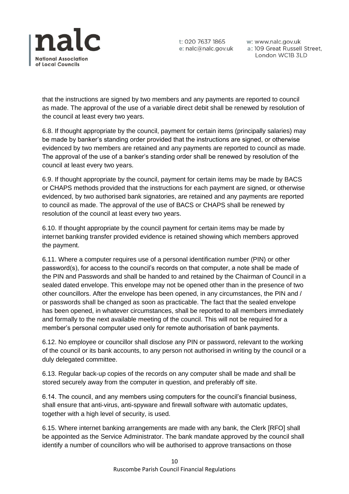

w: www.nalc.gov.uk a: 109 Great Russell Street, London WC1B 3LD

that the instructions are signed by two members and any payments are reported to council as made. The approval of the use of a variable direct debit shall be renewed by resolution of the council at least every two years.

6.8. If thought appropriate by the council, payment for certain items (principally salaries) may be made by banker's standing order provided that the instructions are signed, or otherwise evidenced by two members are retained and any payments are reported to council as made. The approval of the use of a banker's standing order shall be renewed by resolution of the council at least every two years.

6.9. If thought appropriate by the council, payment for certain items may be made by BACS or CHAPS methods provided that the instructions for each payment are signed, or otherwise evidenced, by two authorised bank signatories, are retained and any payments are reported to council as made. The approval of the use of BACS or CHAPS shall be renewed by resolution of the council at least every two years.

6.10. If thought appropriate by the council payment for certain items may be made by internet banking transfer provided evidence is retained showing which members approved the payment.

6.11. Where a computer requires use of a personal identification number (PIN) or other password(s), for access to the council's records on that computer, a note shall be made of the PIN and Passwords and shall be handed to and retained by the Chairman of Council in a sealed dated envelope. This envelope may not be opened other than in the presence of two other councillors. After the envelope has been opened, in any circumstances, the PIN and / or passwords shall be changed as soon as practicable. The fact that the sealed envelope has been opened, in whatever circumstances, shall be reported to all members immediately and formally to the next available meeting of the council. This will not be required for a member's personal computer used only for remote authorisation of bank payments.

6.12. No employee or councillor shall disclose any PIN or password, relevant to the working of the council or its bank accounts, to any person not authorised in writing by the council or a duly delegated committee.

6.13. Regular back-up copies of the records on any computer shall be made and shall be stored securely away from the computer in question, and preferably off site.

6.14. The council, and any members using computers for the council's financial business, shall ensure that anti-virus, anti-spyware and firewall software with automatic updates, together with a high level of security, is used.

6.15. Where internet banking arrangements are made with any bank, the Clerk [RFO] shall be appointed as the Service Administrator. The bank mandate approved by the council shall identify a number of councillors who will be authorised to approve transactions on those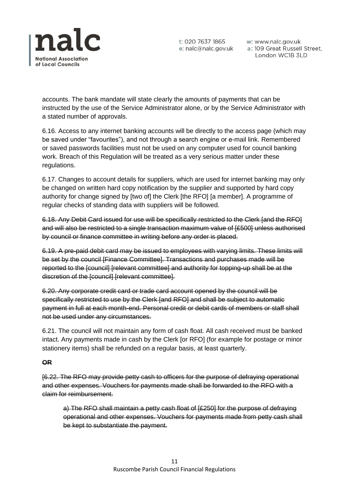

t: 020 7637 1865 w: www.nalc.gov.uk<br>e: nalc@nalc.gov.uk a: 109 Great Russell Street, London WC1B 3LD

accounts. The bank mandate will state clearly the amounts of payments that can be instructed by the use of the Service Administrator alone, or by the Service Administrator with a stated number of approvals.

6.16. Access to any internet banking accounts will be directly to the access page (which may be saved under "favourites"), and not through a search engine or e-mail link. Remembered or saved passwords facilities must not be used on any computer used for council banking work. Breach of this Regulation will be treated as a very serious matter under these regulations.

6.17. Changes to account details for suppliers, which are used for internet banking may only be changed on written hard copy notification by the supplier and supported by hard copy authority for change signed by [two of] the Clerk [the RFO] [a member]. A programme of regular checks of standing data with suppliers will be followed.

6.18. Any Debit Card issued for use will be specifically restricted to the Clerk [and the RFO] and will also be restricted to a single transaction maximum value of [£500] unless authorised by council or finance committee in writing before any order is placed.

6.19. A pre-paid debit card may be issued to employees with varying limits. These limits will be set by the council [Finance Committee]. Transactions and purchases made will be reported to the [council] [relevant committee] and authority for topping-up shall be at the discretion of the [council] [relevant committee].

6.20. Any corporate credit card or trade card account opened by the council will be specifically restricted to use by the Clerk [and RFO] and shall be subject to automatic payment in full at each month-end. Personal credit or debit cards of members or staff shall not be used under any circumstances.

6.21. The council will not maintain any form of cash float. All cash received must be banked intact. Any payments made in cash by the Clerk [or RFO] (for example for postage or minor stationery items) shall be refunded on a regular basis, at least quarterly.

## **OR**

[6.22. The RFO may provide petty cash to officers for the purpose of defraying operational and other expenses. Vouchers for payments made shall be forwarded to the RFO with a claim for reimbursement.

a) The RFO shall maintain a petty cash float of [£250] for the purpose of defraying operational and other expenses. Vouchers for payments made from petty cash shall be kept to substantiate the payment.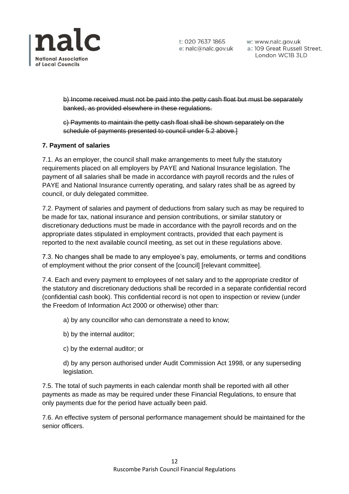

t: 020 7637 1865 w: www.nalc.gov.uk<br>e: nalc@nalc.gov.uk a: 109 Great Russell Street, London WC1B 3LD

b) Income received must not be paid into the petty cash float but must be separately banked, as provided elsewhere in these regulations.

c) Payments to maintain the petty cash float shall be shown separately on the schedule of payments presented to council under 5.2 above.]

## **7. Payment of salaries**

7.1. As an employer, the council shall make arrangements to meet fully the statutory requirements placed on all employers by PAYE and National Insurance legislation. The payment of all salaries shall be made in accordance with payroll records and the rules of PAYE and National Insurance currently operating, and salary rates shall be as agreed by council, or duly delegated committee.

7.2. Payment of salaries and payment of deductions from salary such as may be required to be made for tax, national insurance and pension contributions, or similar statutory or discretionary deductions must be made in accordance with the payroll records and on the appropriate dates stipulated in employment contracts, provided that each payment is reported to the next available council meeting, as set out in these regulations above.

7.3. No changes shall be made to any employee's pay, emoluments, or terms and conditions of employment without the prior consent of the [council] [relevant committee].

7.4. Each and every payment to employees of net salary and to the appropriate creditor of the statutory and discretionary deductions shall be recorded in a separate confidential record (confidential cash book). This confidential record is not open to inspection or review (under the Freedom of Information Act 2000 or otherwise) other than:

a) by any councillor who can demonstrate a need to know;

- b) by the internal auditor;
- c) by the external auditor; or

d) by any person authorised under Audit Commission Act 1998, or any superseding legislation.

7.5. The total of such payments in each calendar month shall be reported with all other payments as made as may be required under these Financial Regulations, to ensure that only payments due for the period have actually been paid.

7.6. An effective system of personal performance management should be maintained for the senior officers.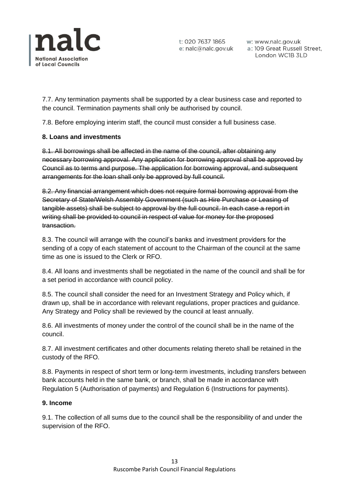

t: 020 7637 1865 w: www.nalc.gov.uk<br>e: nalc@nalc.gov.uk a: 109 Great Russell Street, London WC1B 3LD

7.7. Any termination payments shall be supported by a clear business case and reported to the council. Termination payments shall only be authorised by council.

7.8. Before employing interim staff, the council must consider a full business case.

## **8. Loans and investments**

8.1. All borrowings shall be affected in the name of the council, after obtaining any necessary borrowing approval. Any application for borrowing approval shall be approved by Council as to terms and purpose. The application for borrowing approval, and subsequent arrangements for the loan shall only be approved by full council.

8.2. Any financial arrangement which does not require formal borrowing approval from the Secretary of State/Welsh Assembly Government (such as Hire Purchase or Leasing of tangible assets) shall be subject to approval by the full council. In each case a report in writing shall be provided to council in respect of value for money for the proposed transaction.

8.3. The council will arrange with the council's banks and investment providers for the sending of a copy of each statement of account to the Chairman of the council at the same time as one is issued to the Clerk or RFO.

8.4. All loans and investments shall be negotiated in the name of the council and shall be for a set period in accordance with council policy.

8.5. The council shall consider the need for an Investment Strategy and Policy which, if drawn up, shall be in accordance with relevant regulations, proper practices and guidance. Any Strategy and Policy shall be reviewed by the council at least annually.

8.6. All investments of money under the control of the council shall be in the name of the council.

8.7. All investment certificates and other documents relating thereto shall be retained in the custody of the RFO.

8.8. Payments in respect of short term or long-term investments, including transfers between bank accounts held in the same bank, or branch, shall be made in accordance with Regulation 5 (Authorisation of payments) and Regulation 6 (Instructions for payments).

### **9. Income**

9.1. The collection of all sums due to the council shall be the responsibility of and under the supervision of the RFO.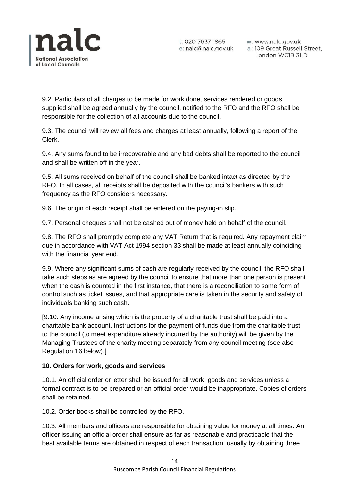

w: www.nalc.gov.uk a: 109 Great Russell Street, London WC1B 3LD

9.2. Particulars of all charges to be made for work done, services rendered or goods supplied shall be agreed annually by the council, notified to the RFO and the RFO shall be responsible for the collection of all accounts due to the council.

9.3. The council will review all fees and charges at least annually, following a report of the Clerk.

9.4. Any sums found to be irrecoverable and any bad debts shall be reported to the council and shall be written off in the year.

9.5. All sums received on behalf of the council shall be banked intact as directed by the RFO. In all cases, all receipts shall be deposited with the council's bankers with such frequency as the RFO considers necessary.

9.6. The origin of each receipt shall be entered on the paying-in slip.

9.7. Personal cheques shall not be cashed out of money held on behalf of the council.

9.8. The RFO shall promptly complete any VAT Return that is required. Any repayment claim due in accordance with VAT Act 1994 section 33 shall be made at least annually coinciding with the financial year end.

9.9. Where any significant sums of cash are regularly received by the council, the RFO shall take such steps as are agreed by the council to ensure that more than one person is present when the cash is counted in the first instance, that there is a reconciliation to some form of control such as ticket issues, and that appropriate care is taken in the security and safety of individuals banking such cash.

[9.10. Any income arising which is the property of a charitable trust shall be paid into a charitable bank account. Instructions for the payment of funds due from the charitable trust to the council (to meet expenditure already incurred by the authority) will be given by the Managing Trustees of the charity meeting separately from any council meeting (see also Regulation 16 below).]

## **10. Orders for work, goods and services**

10.1. An official order or letter shall be issued for all work, goods and services unless a formal contract is to be prepared or an official order would be inappropriate. Copies of orders shall be retained.

10.2. Order books shall be controlled by the RFO.

10.3. All members and officers are responsible for obtaining value for money at all times. An officer issuing an official order shall ensure as far as reasonable and practicable that the best available terms are obtained in respect of each transaction, usually by obtaining three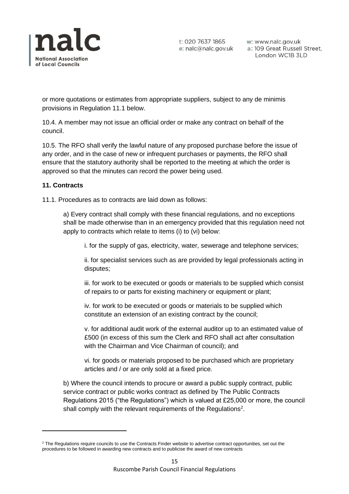

t: 020 7637 1865 w: www.nalc.gov.uk<br>e: nalc@nalc.gov.uk a: 109 Great Russell Street, London WC1B 3LD

or more quotations or estimates from appropriate suppliers, subject to any de minimis provisions in Regulation 11.1 below.

10.4. A member may not issue an official order or make any contract on behalf of the council.

10.5. The RFO shall verify the lawful nature of any proposed purchase before the issue of any order, and in the case of new or infrequent purchases or payments, the RFO shall ensure that the statutory authority shall be reported to the meeting at which the order is approved so that the minutes can record the power being used.

## **11. Contracts**

11.1. Procedures as to contracts are laid down as follows:

a) Every contract shall comply with these financial regulations, and no exceptions shall be made otherwise than in an emergency provided that this regulation need not apply to contracts which relate to items (i) to (vi) below:

i. for the supply of gas, electricity, water, sewerage and telephone services;

ii. for specialist services such as are provided by legal professionals acting in disputes;

iii. for work to be executed or goods or materials to be supplied which consist of repairs to or parts for existing machinery or equipment or plant;

iv. for work to be executed or goods or materials to be supplied which constitute an extension of an existing contract by the council;

v. for additional audit work of the external auditor up to an estimated value of £500 (in excess of this sum the Clerk and RFO shall act after consultation with the Chairman and Vice Chairman of council); and

vi. for goods or materials proposed to be purchased which are proprietary articles and / or are only sold at a fixed price.

b) Where the council intends to procure or award a public supply contract, public service contract or public works contract as defined by The Public Contracts Regulations 2015 ("the Regulations") which is valued at £25,000 or more, the council shall comply with the relevant requirements of the Regulations<sup>2</sup>.

<sup>&</sup>lt;sup>2</sup> The Regulations require councils to use the Contracts Finder website to advertise contract opportunities, set out the procedures to be followed in awarding new contracts and to publicise the award of new contracts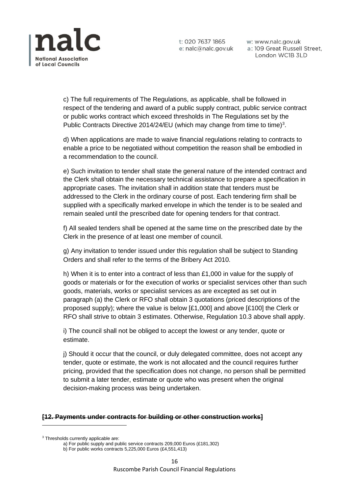

w: www.nalc.gov.uk a: 109 Great Russell Street, London WC1B 3LD

c) The full requirements of The Regulations, as applicable, shall be followed in respect of the tendering and award of a public supply contract, public service contract or public works contract which exceed thresholds in The Regulations set by the Public Contracts Directive 2014/24/EU (which may change from time to time)<sup>3</sup>.

d) When applications are made to waive financial regulations relating to contracts to enable a price to be negotiated without competition the reason shall be embodied in a recommendation to the council.

e) Such invitation to tender shall state the general nature of the intended contract and the Clerk shall obtain the necessary technical assistance to prepare a specification in appropriate cases. The invitation shall in addition state that tenders must be addressed to the Clerk in the ordinary course of post. Each tendering firm shall be supplied with a specifically marked envelope in which the tender is to be sealed and remain sealed until the prescribed date for opening tenders for that contract.

f) All sealed tenders shall be opened at the same time on the prescribed date by the Clerk in the presence of at least one member of council.

g) Any invitation to tender issued under this regulation shall be subject to Standing Orders and shall refer to the terms of the Bribery Act 2010.

h) When it is to enter into a contract of less than £1,000 in value for the supply of goods or materials or for the execution of works or specialist services other than such goods, materials, works or specialist services as are excepted as set out in paragraph (a) the Clerk or RFO shall obtain 3 quotations (priced descriptions of the proposed supply); where the value is below [£1,000] and above [£100] the Clerk or RFO shall strive to obtain 3 estimates. Otherwise, Regulation 10.3 above shall apply.

i) The council shall not be obliged to accept the lowest or any tender, quote or estimate.

j) Should it occur that the council, or duly delegated committee, does not accept any tender, quote or estimate, the work is not allocated and the council requires further pricing, provided that the specification does not change, no person shall be permitted to submit a later tender, estimate or quote who was present when the original decision-making process was being undertaken.

#### **[12. Payments under contracts for building or other construction works]**

<sup>3</sup> Thresholds currently applicable are:

a) For public supply and public service contracts 209,000 Euros (£181,302)

b) For public works contracts 5,225,000 Euros (£4,551,413)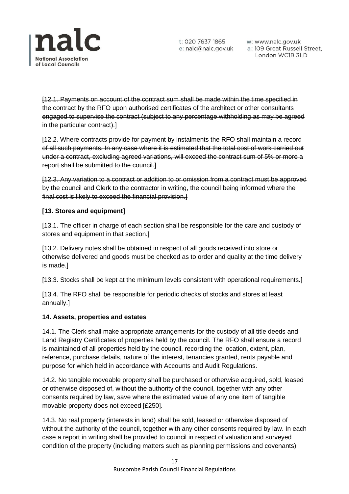

w: www.nalc.gov.uk London WC1B 3LD

[12.1. Payments on account of the contract sum shall be made within the time specified in the contract by the RFO upon authorised certificates of the architect or other consultants engaged to supervise the contract (subject to any percentage withholding as may be agreed in the particular contract).]

[12.2. Where contracts provide for payment by instalments the RFO shall maintain a record of all such payments. In any case where it is estimated that the total cost of work carried out under a contract, excluding agreed variations, will exceed the contract sum of 5% or more a report shall be submitted to the council.]

[12.3. Any variation to a contract or addition to or omission from a contract must be approved by the council and Clerk to the contractor in writing, the council being informed where the final cost is likely to exceed the financial provision.]

## **[13. Stores and equipment]**

[13.1. The officer in charge of each section shall be responsible for the care and custody of stores and equipment in that section.]

[13.2. Delivery notes shall be obtained in respect of all goods received into store or otherwise delivered and goods must be checked as to order and quality at the time delivery is made.]

[13.3. Stocks shall be kept at the minimum levels consistent with operational requirements.]

[13.4. The RFO shall be responsible for periodic checks of stocks and stores at least annually.]

## **14. Assets, properties and estates**

14.1. The Clerk shall make appropriate arrangements for the custody of all title deeds and Land Registry Certificates of properties held by the council. The RFO shall ensure a record is maintained of all properties held by the council, recording the location, extent, plan, reference, purchase details, nature of the interest, tenancies granted, rents payable and purpose for which held in accordance with Accounts and Audit Regulations.

14.2. No tangible moveable property shall be purchased or otherwise acquired, sold, leased or otherwise disposed of, without the authority of the council, together with any other consents required by law, save where the estimated value of any one item of tangible movable property does not exceed [£250].

14.3. No real property (interests in land) shall be sold, leased or otherwise disposed of without the authority of the council, together with any other consents required by law. In each case a report in writing shall be provided to council in respect of valuation and surveyed condition of the property (including matters such as planning permissions and covenants)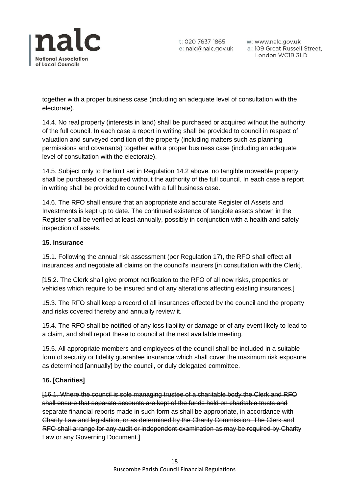

w: www.nalc.gov.uk a: 109 Great Russell Street, London WC1B 3LD

together with a proper business case (including an adequate level of consultation with the electorate).

14.4. No real property (interests in land) shall be purchased or acquired without the authority of the full council. In each case a report in writing shall be provided to council in respect of valuation and surveyed condition of the property (including matters such as planning permissions and covenants) together with a proper business case (including an adequate level of consultation with the electorate).

14.5. Subject only to the limit set in Regulation 14.2 above, no tangible moveable property shall be purchased or acquired without the authority of the full council. In each case a report in writing shall be provided to council with a full business case.

14.6. The RFO shall ensure that an appropriate and accurate Register of Assets and Investments is kept up to date. The continued existence of tangible assets shown in the Register shall be verified at least annually, possibly in conjunction with a health and safety inspection of assets.

## **15. Insurance**

15.1. Following the annual risk assessment (per Regulation 17), the RFO shall effect all insurances and negotiate all claims on the council's insurers [in consultation with the Clerk].

[15.2. The Clerk shall give prompt notification to the RFO of all new risks, properties or vehicles which require to be insured and of any alterations affecting existing insurances.]

15.3. The RFO shall keep a record of all insurances effected by the council and the property and risks covered thereby and annually review it.

15.4. The RFO shall be notified of any loss liability or damage or of any event likely to lead to a claim, and shall report these to council at the next available meeting.

15.5. All appropriate members and employees of the council shall be included in a suitable form of security or fidelity guarantee insurance which shall cover the maximum risk exposure as determined [annually] by the council, or duly delegated committee.

## **16. [Charities]**

[16.1. Where the council is sole managing trustee of a charitable body the Clerk and RFO shall ensure that separate accounts are kept of the funds held on charitable trusts and separate financial reports made in such form as shall be appropriate, in accordance with Charity Law and legislation, or as determined by the Charity Commission. The Clerk and RFO shall arrange for any audit or independent examination as may be required by Charity Law or any Governing Document.]